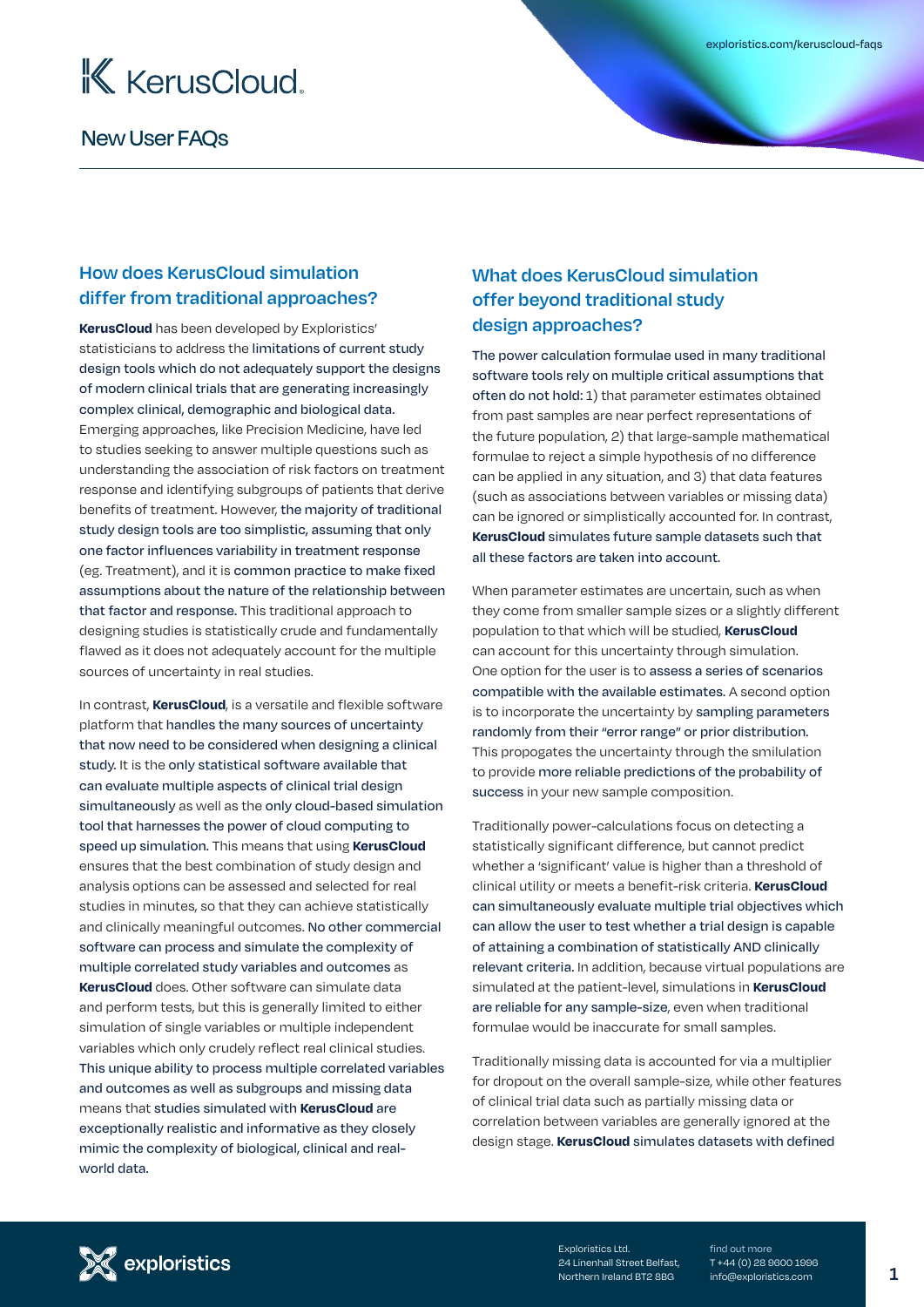

# **How does KerusCloud simulation differ from traditional approaches?**

**KerusCloud** has been developed by Exploristics' statisticians to address the limitations of current study design tools which do not adequately support the designs of modern clinical trials that are generating increasingly complex clinical, demographic and biological data. Emerging approaches, like Precision Medicine, have led to studies seeking to answer multiple questions such as understanding the association of risk factors on treatment response and identifying subgroups of patients that derive benefits of treatment. However, the majority of traditional study design tools are too simplistic, assuming that only one factor influences variability in treatment response (eg. Treatment), and it is common practice to make fixed assumptions about the nature of the relationship between that factor and response. This traditional approach to designing studies is statistically crude and fundamentally flawed as it does not adequately account for the multiple sources of uncertainty in real studies.

In contrast, **KerusCloud**, is a versatile and flexible software platform that handles the many sources of uncertainty that now need to be considered when designing a clinical study. It is the only statistical software available that can evaluate multiple aspects of clinical trial design simultaneously as well as the only cloud-based simulation tool that harnesses the power of cloud computing to speed up simulation. This means that using **KerusCloud** ensures that the best combination of study design and analysis options can be assessed and selected for real studies in minutes, so that they can achieve statistically and clinically meaningful outcomes. No other commercial software can process and simulate the complexity of multiple correlated study variables and outcomes as **KerusCloud** does. Other software can simulate data and perform tests, but this is generally limited to either simulation of single variables or multiple independent variables which only crudely reflect real clinical studies. This unique ability to process multiple correlated variables and outcomes as well as subgroups and missing data means that studies simulated with **KerusCloud** are exceptionally realistic and informative as they closely mimic the complexity of biological, clinical and realworld data.

# **What does KerusCloud simulation offer beyond traditional study design approaches?**

The power calculation formulae used in many traditional software tools rely on multiple critical assumptions that often do not hold: 1) that parameter estimates obtained from past samples are near perfect representations of the future population, 2) that large-sample mathematical formulae to reject a simple hypothesis of no difference can be applied in any situation, and 3) that data features (such as associations between variables or missing data) can be ignored or simplistically accounted for. In contrast, **KerusCloud** simulates future sample datasets such that all these factors are taken into account.

When parameter estimates are uncertain, such as when they come from smaller sample sizes or a slightly different population to that which will be studied, **KerusCloud**  can account for this uncertainty through simulation. One option for the user is to assess a series of scenarios compatible with the available estimates. A second option is to incorporate the uncertainty by sampling parameters randomly from their "error range" or prior distribution. This propogates the uncertainty through the smilulation to provide more reliable predictions of the probability of success in your new sample composition.

Traditionally power-calculations focus on detecting a statistically significant difference, but cannot predict whether a 'significant' value is higher than a threshold of clinical utility or meets a benefit-risk criteria. **KerusCloud**  can simultaneously evaluate multiple trial objectives which can allow the user to test whether a trial design is capable of attaining a combination of statistically AND clinically relevant criteria. In addition, because virtual populations are simulated at the patient-level, simulations in **KerusCloud**  are reliable for any sample-size, even when traditional formulae would be inaccurate for small samples.

Traditionally missing data is accounted for via a multiplier for dropout on the overall sample-size, while other features of clinical trial data such as partially missing data or correlation between variables are generally ignored at the design stage. **KerusCloud** simulates datasets with defined



Exploristics Ltd. 24 Linenhall Street Belfast, Northern Ireland BT2 8BG

find out more T +44 (0) 28 9600 1996 info@exploristics.com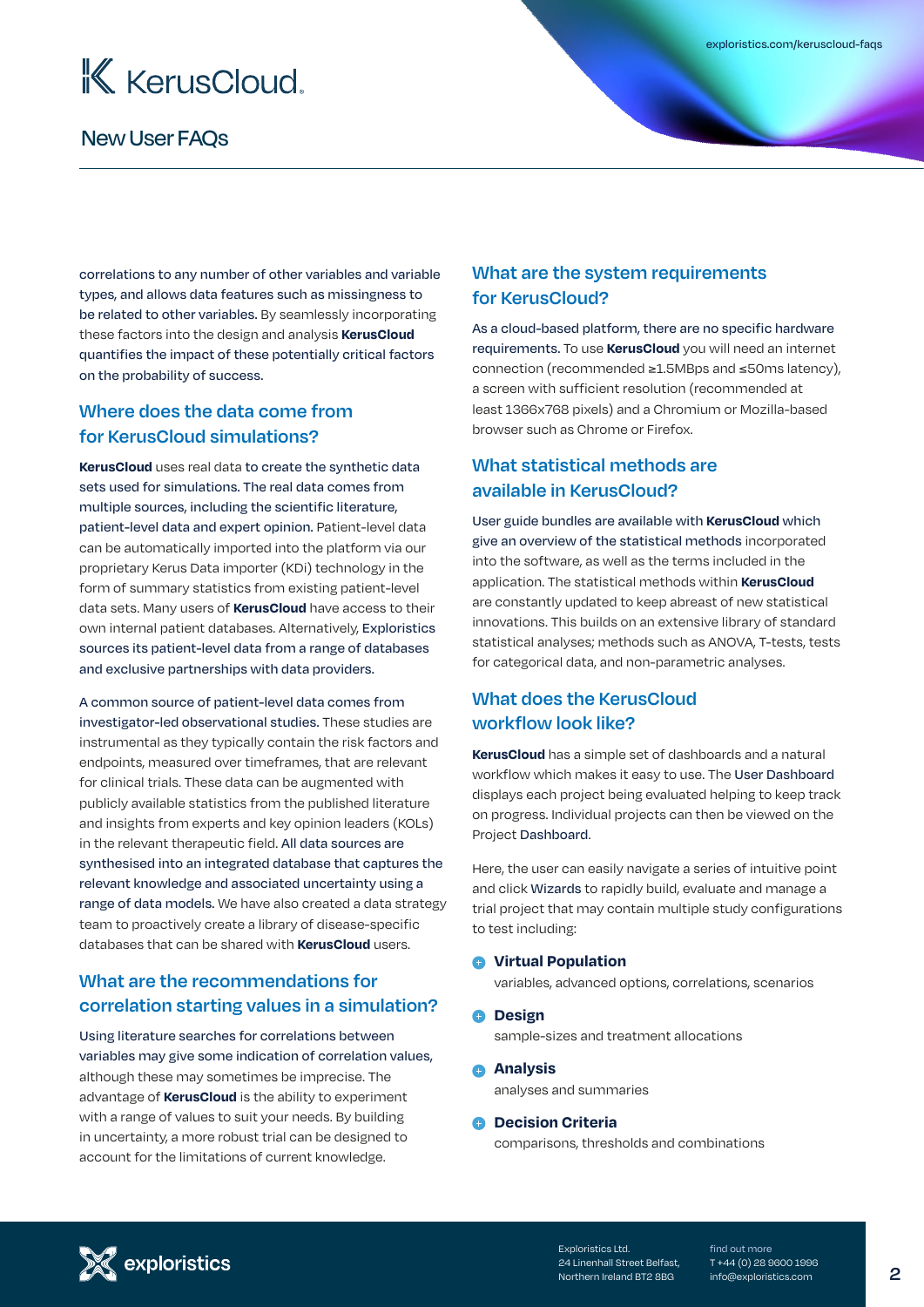

correlations to any number of other variables and variable types, and allows data features such as missingness to be related to other variables. By seamlessly incorporating these factors into the design and analysis **KerusCloud** quantifies the impact of these potentially critical factors on the probability of success.

#### **Where does the data come from for KerusCloud simulations?**

**KerusCloud** uses real data to create the synthetic data sets used for simulations. The real data comes from multiple sources, including the scientific literature, patient-level data and expert opinion. Patient-level data can be automatically imported into the platform via our proprietary Kerus Data importer (KDi) technology in the form of summary statistics from existing patient-level data sets. Many users of **KerusCloud** have access to their own internal patient databases. Alternatively, Exploristics sources its patient-level data from a range of databases and exclusive partnerships with data providers.

A common source of patient-level data comes from investigator-led observational studies. These studies are instrumental as they typically contain the risk factors and endpoints, measured over timeframes, that are relevant for clinical trials. These data can be augmented with publicly available statistics from the published literature and insights from experts and key opinion leaders (KOLs) in the relevant therapeutic field. All data sources are synthesised into an integrated database that captures the relevant knowledge and associated uncertainty using a range of data models. We have also created a data strategy team to proactively create a library of disease-specific databases that can be shared with **KerusCloud** users.

# **What are the recommendations for correlation starting values in a simulation?**

Using literature searches for correlations between variables may give some indication of correlation values, although these may sometimes be imprecise. The advantage of **KerusCloud** is the ability to experiment with a range of values to suit your needs. By building in uncertainty, a more robust trial can be designed to account for the limitations of current knowledge.

#### **What are the system requirements for KerusCloud?**

As a cloud-based platform, there are no specific hardware requirements. To use **KerusCloud** you will need an internet connection (recommended ≥1.5MBps and ≤50ms latency), a screen with sufficient resolution (recommended at least 1366x768 pixels) and a Chromium or Mozilla-based browser such as Chrome or Firefox.

## **What statistical methods are available in KerusCloud?**

User guide bundles are available with **KerusCloud** which give an overview of the statistical methods incorporated into the software, as well as the terms included in the application. The statistical methods within **KerusCloud**  are constantly updated to keep abreast of new statistical innovations. This builds on an extensive library of standard statistical analyses; methods such as ANOVA, T-tests, tests for categorical data, and non-parametric analyses.

## **What does the KerusCloud workflow look like?**

**KerusCloud** has a simple set of dashboards and a natural workflow which makes it easy to use. The User Dashboard displays each project being evaluated helping to keep track on progress. Individual projects can then be viewed on the Project Dashboard.

Here, the user can easily navigate a series of intuitive point and click Wizards to rapidly build, evaluate and manage a trial project that may contain multiple study configurations to test including:

#### **Virtual Population**

variables, advanced options, correlations, scenarios

*<u>Design</u>* 

sample-sizes and treatment allocations

**Analysis** analyses and summaries

#### **C** Decision Criteria

comparisons, thresholds and combinations



Exploristics Ltd. 24 Linenhall Street Belfast, Northern Ireland BT2 8BG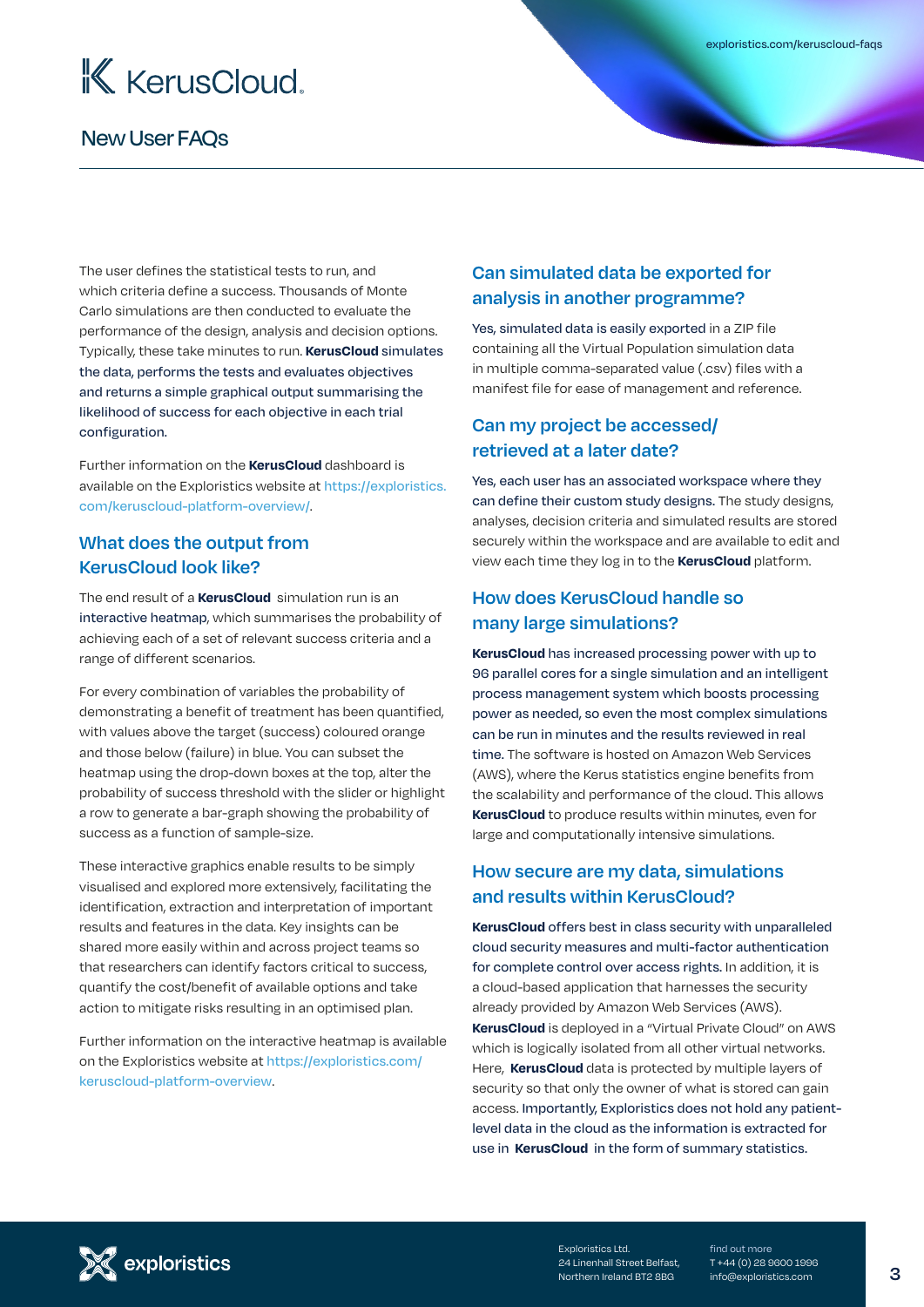

The user defines the statistical tests to run, and which criteria define a success. Thousands of Monte Carlo simulations are then conducted to evaluate the performance of the design, analysis and decision options. Typically, these take minutes to run. **KerusCloud** simulates the data, performs the tests and evaluates objectives and returns a simple graphical output summarising the likelihood of success for each objective in each trial configuration.

Further information on the **KerusCloud** dashboard is available on the Exploristics website at [https://exploristics.](https://exploristics.com/keruscloud-platform-overview/) [com/keruscloud-platform-overview/](https://exploristics.com/keruscloud-platform-overview/).

#### **What does the output from KerusCloud look like?**

The end result of a **KerusCloud** simulation run is an interactive heatmap, which summarises the probability of achieving each of a set of relevant success criteria and a range of different scenarios.

For every combination of variables the probability of demonstrating a benefit of treatment has been quantified, with values above the target (success) coloured orange and those below (failure) in blue. You can subset the heatmap using the drop-down boxes at the top, alter the probability of success threshold with the slider or highlight a row to generate a bar-graph showing the probability of success as a function of sample-size.

These interactive graphics enable results to be simply visualised and explored more extensively, facilitating the identification, extraction and interpretation of important results and features in the data. Key insights can be shared more easily within and across project teams so that researchers can identify factors critical to success, quantify the cost/benefit of available options and take action to mitigate risks resulting in an optimised plan.

Further information on the interactive heatmap is available on the Exploristics website at [https://exploristics.com/](https://exploristics.com/keruscloud-platform-overview) [keruscloud-platform-overview](https://exploristics.com/keruscloud-platform-overview).

## **Can simulated data be exported for analysis in another programme?**

Yes, simulated data is easily exported in a ZIP file containing all the Virtual Population simulation data in multiple comma-separated value (.csv) files with a manifest file for ease of management and reference.

#### **Can my project be accessed/ retrieved at a later date?**

Yes, each user has an associated workspace where they can define their custom study designs. The study designs, analyses, decision criteria and simulated results are stored securely within the workspace and are available to edit and view each time they log in to the **KerusCloud** platform.

## **How does KerusCloud handle so many large simulations?**

**KerusCloud** has increased processing power with up to 96 parallel cores for a single simulation and an intelligent process management system which boosts processing power as needed, so even the most complex simulations can be run in minutes and the results reviewed in real time. The software is hosted on Amazon Web Services (AWS), where the Kerus statistics engine benefits from the scalability and performance of the cloud. This allows **KerusCloud** to produce results within minutes, even for large and computationally intensive simulations.

#### **How secure are my data, simulations and results within KerusCloud?**

**KerusCloud** offers best in class security with unparalleled cloud security measures and multi-factor authentication for complete control over access rights. In addition, it is a cloud-based application that harnesses the security already provided by Amazon Web Services (AWS). **KerusCloud** is deployed in a "Virtual Private Cloud" on AWS which is logically isolated from all other virtual networks. Here, **KerusCloud** data is protected by multiple layers of security so that only the owner of what is stored can gain access. Importantly, Exploristics does not hold any patientlevel data in the cloud as the information is extracted for use in **KerusCloud** in the form of summary statistics.



Exploristics Ltd. 24 Linenhall Street Belfast, Northern Ireland BT2 8BG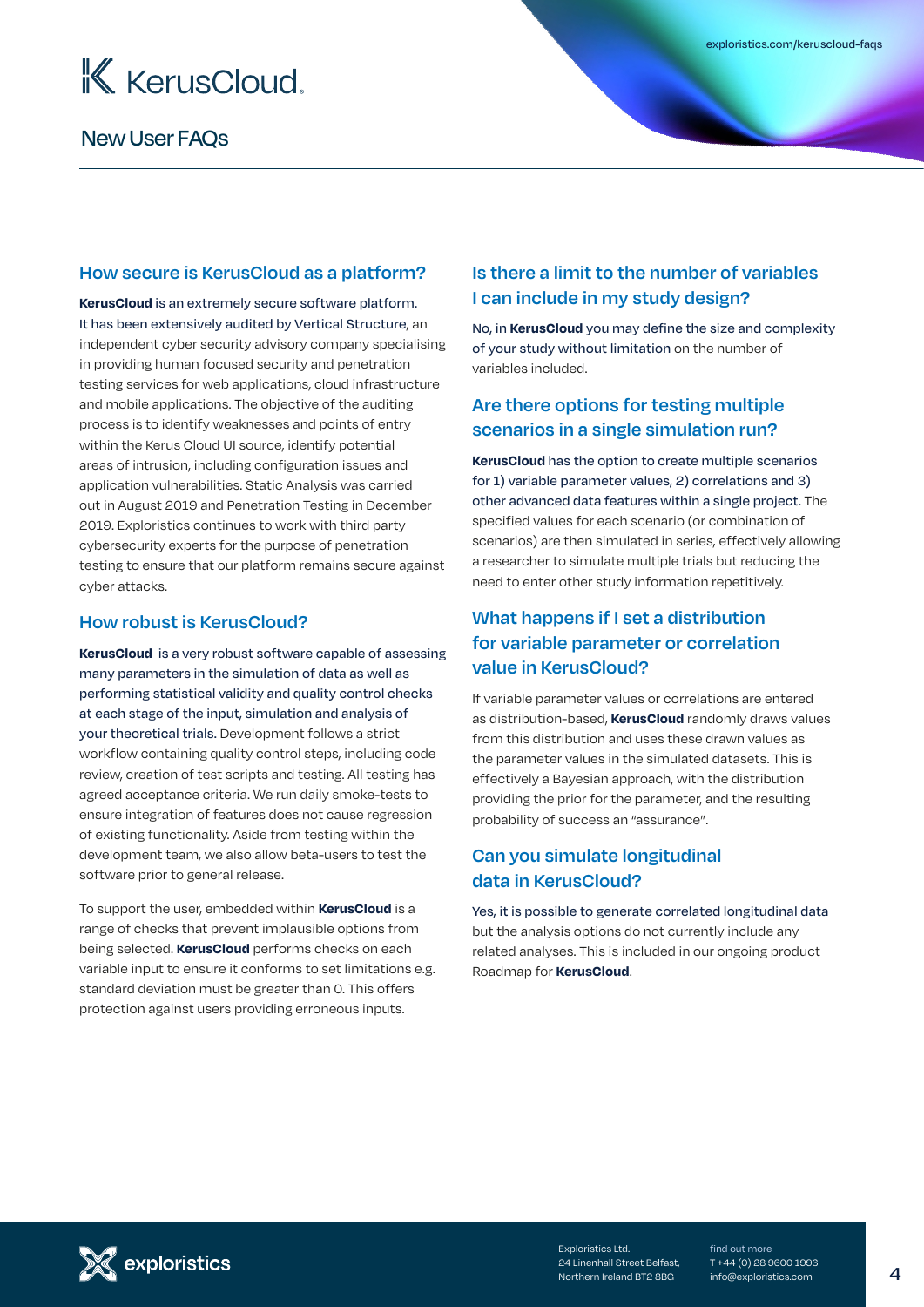

#### **How secure is KerusCloud as a platform?**

**KerusCloud** is an extremely secure software platform. It has been extensively audited by Vertical Structure, an independent cyber security advisory company specialising in providing human focused security and penetration testing services for web applications, cloud infrastructure and mobile applications. The objective of the auditing process is to identify weaknesses and points of entry within the Kerus Cloud UI source, identify potential areas of intrusion, including configuration issues and application vulnerabilities. Static Analysis was carried out in August 2019 and Penetration Testing in December 2019. Exploristics continues to work with third party cybersecurity experts for the purpose of penetration testing to ensure that our platform remains secure against cyber attacks.

#### **How robust is KerusCloud?**

**KerusCloud** is a very robust software capable of assessing many parameters in the simulation of data as well as performing statistical validity and quality control checks at each stage of the input, simulation and analysis of your theoretical trials. Development follows a strict workflow containing quality control steps, including code review, creation of test scripts and testing. All testing has agreed acceptance criteria. We run daily smoke-tests to ensure integration of features does not cause regression of existing functionality. Aside from testing within the development team, we also allow beta-users to test the software prior to general release.

To support the user, embedded within **KerusCloud** is a range of checks that prevent implausible options from being selected. **KerusCloud** performs checks on each variable input to ensure it conforms to set limitations e.g. standard deviation must be greater than 0. This offers protection against users providing erroneous inputs.

## **Is there a limit to the number of variables I can include in my study design?**

No, in **KerusCloud** you may define the size and complexity of your study without limitation on the number of variables included.

#### **Are there options for testing multiple scenarios in a single simulation run?**

**KerusCloud** has the option to create multiple scenarios for 1) variable parameter values, 2) correlations and 3) other advanced data features within a single project. The specified values for each scenario (or combination of scenarios) are then simulated in series, effectively allowing a researcher to simulate multiple trials but reducing the need to enter other study information repetitively.

## **What happens if I set a distribution for variable parameter or correlation value in KerusCloud?**

If variable parameter values or correlations are entered as distribution-based, **KerusCloud** randomly draws values from this distribution and uses these drawn values as the parameter values in the simulated datasets. This is effectively a Bayesian approach, with the distribution providing the prior for the parameter, and the resulting probability of success an "assurance".

#### **Can you simulate longitudinal data in KerusCloud?**

Yes, it is possible to generate correlated longitudinal data but the analysis options do not currently include any related analyses. This is included in our ongoing product Roadmap for **KerusCloud**.



Exploristics Ltd. 24 Linenhall Street Belfast, Northern Ireland BT2 8BG

find out more T +44 (0) 28 9600 1996 info@exploristics.com